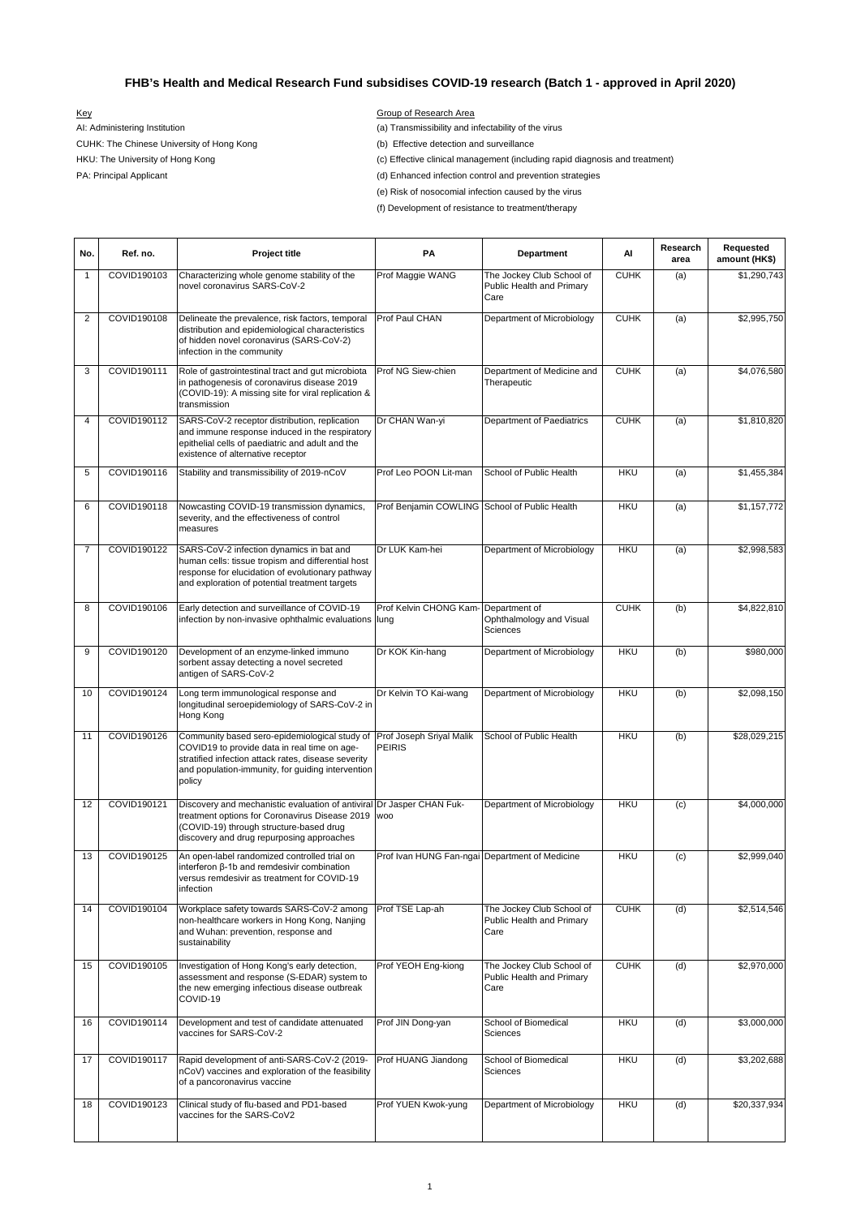(e) Risk of nosocomial infection caused by the virus

(f) Development of resistance to treatment/therapy

| No.            | Ref. no.    | <b>Project title</b>                                                                                                                                                                                                | PA                                             | <b>Department</b>                                                     | Al          | Research<br>area | Requested<br>amount (HK\$) |
|----------------|-------------|---------------------------------------------------------------------------------------------------------------------------------------------------------------------------------------------------------------------|------------------------------------------------|-----------------------------------------------------------------------|-------------|------------------|----------------------------|
| -1             | COVID190103 | Characterizing whole genome stability of the<br>novel coronavirus SARS-CoV-2                                                                                                                                        | Prof Maggie WANG                               | The Jockey Club School of<br>Public Health and Primary<br>Care        | <b>CUHK</b> | (a)              | \$1,290,743                |
| 2              | COVID190108 | Delineate the prevalence, risk factors, temporal<br>distribution and epidemiological characteristics<br>of hidden novel coronavirus (SARS-CoV-2)<br>infection in the community                                      | Prof Paul CHAN                                 | Department of Microbiology                                            | <b>CUHK</b> | (a)              | \$2,995,750                |
| 3              | COVID190111 | Role of gastrointestinal tract and gut microbiota<br>in pathogenesis of coronavirus disease 2019<br>(COVID-19): A missing site for viral replication &<br>transmission                                              | Prof NG Siew-chien                             | Department of Medicine and<br>Therapeutic                             | <b>CUHK</b> | (a)              | \$4,076,580                |
| 4              | COVID190112 | SARS-CoV-2 receptor distribution, replication<br>and immune response induced in the respiratory<br>epithelial cells of paediatric and adult and the<br>existence of alternative receptor                            | Dr CHAN Wan-yi                                 | Department of Paediatrics                                             | <b>CUHK</b> | (a)              | \$1,810,820                |
| 5              | COVID190116 | Stability and transmissibility of 2019-nCoV                                                                                                                                                                         | Prof Leo POON Lit-man                          | School of Public Health                                               | <b>HKU</b>  | (a)              | \$1,455,384                |
| 6              | COVID190118 | Nowcasting COVID-19 transmission dynamics,<br>severity, and the effectiveness of control<br>measures                                                                                                                | Prof Benjamin COWLING School of Public Health  |                                                                       | <b>HKU</b>  | (a)              | \$1,157,772                |
| $\overline{7}$ | COVID190122 | SARS-CoV-2 infection dynamics in bat and<br>human cells: tissue tropism and differential host<br>response for elucidation of evolutionary pathway<br>and exploration of potential treatment targets                 | Dr LUK Kam-hei                                 | Department of Microbiology                                            | <b>HKU</b>  | (a)              | \$2,998,583                |
| 8              | COVID190106 | Early detection and surveillance of COVID-19<br>infection by non-invasive ophthalmic evaluations lung                                                                                                               | Prof Kelvin CHONG Kam-                         | Department of<br>Ophthalmology and Visual<br><b>Sciences</b>          | <b>CUHK</b> | (b)              | \$4,822,810                |
| 9              | COVID190120 | Development of an enzyme-linked immuno<br>sorbent assay detecting a novel secreted<br>antigen of SARS-CoV-2                                                                                                         | Dr KOK Kin-hang                                | Department of Microbiology                                            | <b>HKU</b>  | (b)              | \$980,000                  |
| 10             | COVID190124 | Long term immunological response and<br>longitudinal seroepidemiology of SARS-CoV-2 in<br>Hong Kong                                                                                                                 | Dr Kelvin TO Kai-wang                          | Department of Microbiology                                            | <b>HKU</b>  | (b)              | \$2,098,150                |
| 11             | COVID190126 | Community based sero-epidemiological study of<br>COVID19 to provide data in real time on age-<br>stratified infection attack rates, disease severity<br>and population-immunity, for guiding intervention<br>policy | Prof Joseph Sriyal Malik<br>PEIRIS             | School of Public Health                                               | <b>HKU</b>  | (b)              | \$28,029,215               |
| 12             | COVID190121 | Discovery and mechanistic evaluation of antiviral Dr Jasper CHAN Fuk-<br>treatment options for Coronavirus Disease 2019<br>(COVID-19) through structure-based drug<br>discovery and drug repurposing approaches     | <b>WOO</b>                                     | Department of Microbiology                                            | <b>HKU</b>  | (c)              | \$4,000,000                |
| 13             | COVID190125 | An open-label randomized controlled trial on<br>interferon $\beta$ -1b and remdesivir combination<br>versus remdesivir as treatment for COVID-19<br>infection                                                       | Prof Ivan HUNG Fan-ngai Department of Medicine |                                                                       | <b>HKU</b>  | (c)              | \$2,999,040                |
| 14             | COVID190104 | Workplace safety towards SARS-CoV-2 among<br>non-healthcare workers in Hong Kong, Nanjing<br>and Wuhan: prevention, response and<br>sustainability                                                                  | Prof TSE Lap-ah                                | The Jockey Club School of<br><b>Public Health and Primary</b><br>Care | <b>CUHK</b> | (d)              | \$2,514,546                |
| 15             | COVID190105 | Investigation of Hong Kong's early detection,<br>assessment and response (S-EDAR) system to<br>the new emerging infectious disease outbreak<br>COVID-19                                                             | Prof YEOH Eng-kiong                            | The Jockey Club School of<br>Public Health and Primary<br>Care        | <b>CUHK</b> | (d)              | \$2,970,000                |
| 16             | COVID190114 | Development and test of candidate attenuated<br>vaccines for SARS-CoV-2                                                                                                                                             | Prof JIN Dong-yan                              | School of Biomedical<br>Sciences                                      | <b>HKU</b>  | (d)              | \$3,000,000                |
| 17             | COVID190117 | Rapid development of anti-SARS-CoV-2 (2019-<br>nCoV) vaccines and exploration of the feasibility<br>of a pancoronavirus vaccine                                                                                     | Prof HUANG Jiandong                            | School of Biomedical<br>Sciences                                      | <b>HKU</b>  | (d)              | \$3,202,688                |
| 18             | COVID190123 | Clinical study of flu-based and PD1-based<br>vaccines for the SARS-CoV2                                                                                                                                             | Prof YUEN Kwok-yung                            | Department of Microbiology                                            | <b>HKU</b>  | (d)              | \$20,337,934               |

## **FHB's Health and Medical Research Fund subsidises COVID-19 research (Batch 1 - approved in April 2020)**

Key Group of Research Area AI: Administering Institution **and the virus** (a) Transmissibility and infectability of the virus CUHK: The Chinese University of Hong Kong (b) Effective detection and surveillance

HKU: The University of Hong Kong **Confirmation Confirmation Confirmation** (c) Effective clinical management (including rapid diagnosis and treatment)

PA: Principal Applicant **Control Applicant** Control and prevention strategies (d) Enhanced infection control and prevention strategies